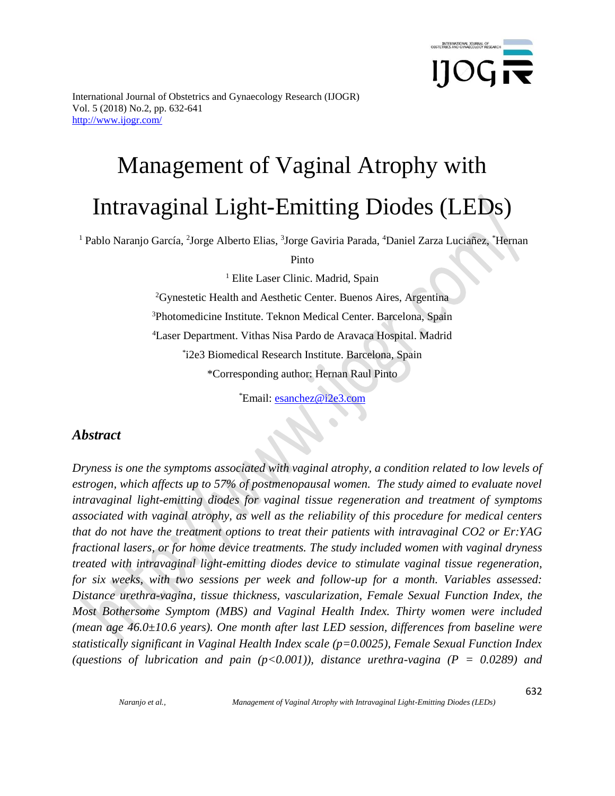

# Management of Vaginal Atrophy with Intravaginal Light-Emitting Diodes (LEDs)

<sup>1</sup> Pablo Naranjo García, <sup>2</sup>Jorge Alberto Elias, <sup>3</sup>Jorge Gaviria Parada, <sup>4</sup>Daniel Zarza Luciañez, <sup>\*</sup>Hernan

Pinto

<sup>1</sup> Elite Laser Clinic. Madrid, Spain

<sup>2</sup>Gynestetic Health and Aesthetic Center. Buenos Aires, Argentina <sup>3</sup>Photomedicine Institute. Teknon Medical Center. Barcelona, Spain <sup>4</sup>Laser Department. Vithas Nisa Pardo de Aravaca Hospital. Madrid \* i2e3 Biomedical Research Institute. Barcelona, Spain \*Corresponding author: Hernan Raul Pinto

\*Email: [esanchez@i2e3.com](mailto:esanchez@i2e3.com)

## *Abstract*

*Dryness is one the symptoms associated with vaginal atrophy, a condition related to low levels of estrogen, which affects up to 57% of postmenopausal women. The study aimed to evaluate novel intravaginal light-emitting diodes for vaginal tissue regeneration and treatment of symptoms associated with vaginal atrophy, as well as the reliability of this procedure for medical centers that do not have the treatment options to treat their patients with intravaginal CO2 or Er:YAG fractional lasers, or for home device treatments. The study included women with vaginal dryness treated with intravaginal light-emitting diodes device to stimulate vaginal tissue regeneration, for six weeks, with two sessions per week and follow-up for a month. Variables assessed: Distance urethra-vagina, tissue thickness, vascularization, Female Sexual Function Index, the Most Bothersome Symptom (MBS) and Vaginal Health Index. Thirty women were included (mean age 46.0±10.6 years). One month after last LED session, differences from baseline were statistically significant in Vaginal Health Index scale (p=0.0025), Female Sexual Function Index (questions of lubrication and pain (p<0.001)), distance urethra-vagina (P = 0.0289) and* 

*Naranjo et al., Management of Vaginal Atrophy with Intravaginal Light-Emitting Diodes (LEDs)*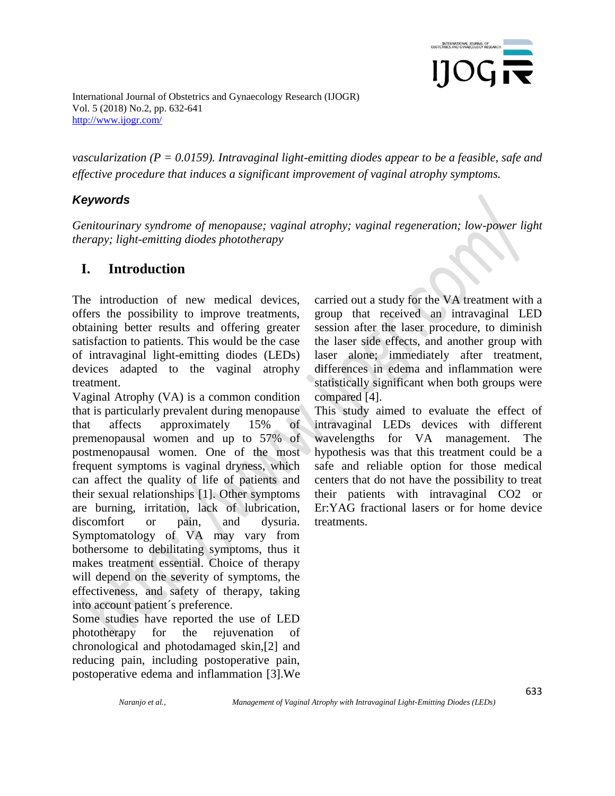

*vascularization (P = 0.0159). Intravaginal light-emitting diodes appear to be a feasible, safe and effective procedure that induces a significant improvement of vaginal atrophy symptoms.*

## *Keywords*

*Genitourinary syndrome of menopause; vaginal atrophy; vaginal regeneration; low-power light therapy; light-emitting diodes phototherapy*

# **I. Introduction**

The introduction of new medical devices, offers the possibility to improve treatments, obtaining better results and offering greater satisfaction to patients. This would be the case of intravaginal light-emitting diodes (LEDs) devices adapted to the vaginal atrophy treatment.

Vaginal Atrophy (VA) is a common condition that is particularly prevalent during menopause that affects approximately 15% of premenopausal women and up to 57% of postmenopausal women. One of the most frequent symptoms is vaginal dryness, which can affect the quality of life of patients and their sexual relationships [1]. Other symptoms are burning, irritation, lack of lubrication, discomfort or pain, and dysuria. Symptomatology of VA may vary from bothersome to debilitating symptoms, thus it makes treatment essential. Choice of therapy will depend on the severity of symptoms, the effectiveness, and safety of therapy, taking into account patient´s preference.

Some studies have reported the use of LED phototherapy for the rejuvenation of chronological and photodamaged skin,[2] and reducing pain, including postoperative pain, postoperative edema and inflammation [3].We carried out a study for the VA treatment with a group that received an intravaginal LED session after the laser procedure, to diminish the laser side effects, and another group with laser alone; immediately after treatment, differences in edema and inflammation were statistically significant when both groups were compared [4].

This study aimed to evaluate the effect of intravaginal LEDs devices with different wavelengths for VA management. The hypothesis was that this treatment could be a safe and reliable option for those medical centers that do not have the possibility to treat their patients with intravaginal CO2 or Er:YAG fractional lasers or for home device treatments.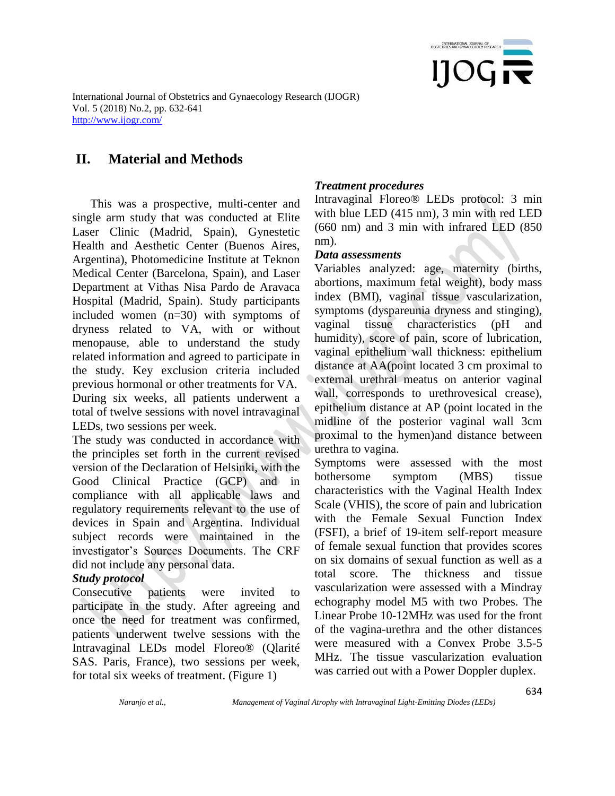

# **II. Material and Methods**

 This was a prospective, multi-center and single arm study that was conducted at Elite Laser Clinic (Madrid, Spain), Gynestetic Health and Aesthetic Center (Buenos Aires, Argentina), Photomedicine Institute at Teknon Medical Center (Barcelona, Spain), and Laser Department at Vithas Nisa Pardo de Aravaca Hospital (Madrid, Spain). Study participants included women (n=30) with symptoms of dryness related to VA, with or without menopause, able to understand the study related information and agreed to participate in the study. Key exclusion criteria included previous hormonal or other treatments for VA. During six weeks, all patients underwent a total of twelve sessions with novel intravaginal LEDs, two sessions per week.

The study was conducted in accordance with the principles set forth in the current revised version of the Declaration of Helsinki, with the Good Clinical Practice (GCP) and in compliance with all applicable laws and regulatory requirements relevant to the use of devices in Spain and Argentina. Individual subject records were maintained in the investigator's Sources Documents. The CRF did not include any personal data.

#### *Study protocol*

Consecutive patients were invited to participate in the study. After agreeing and once the need for treatment was confirmed, patients underwent twelve sessions with the Intravaginal LEDs model Floreo® (Qlarité SAS. Paris, France), two sessions per week, for total six weeks of treatment. (Figure 1)

#### *Treatment procedures*

Intravaginal Floreo® LEDs protocol: 3 min with blue LED (415 nm), 3 min with red LED (660 nm) and 3 min with infrared LED (850 nm).

#### *Data assessments*

Variables analyzed: age, maternity (births, abortions, maximum fetal weight), body mass index (BMI), vaginal tissue vascularization, symptoms (dyspareunia dryness and stinging), vaginal tissue characteristics (pH and humidity), score of pain, score of lubrication, vaginal epithelium wall thickness: epithelium distance at AA(point located 3 cm proximal to external urethral meatus on anterior vaginal wall, corresponds to urethrovesical crease), epithelium distance at AP (point located in the midline of the posterior vaginal wall 3cm proximal to the hymen)and distance between urethra to vagina.

Symptoms were assessed with the most bothersome symptom (MBS) tissue characteristics with the Vaginal Health Index Scale (VHIS), the score of pain and lubrication with the Female Sexual Function Index (FSFI), a brief of 19-item self-report measure of female sexual function that provides scores on six domains of sexual function as well as a total score. The thickness and tissue vascularization were assessed with a Mindray echography model M5 with two Probes. The Linear Probe 10-12MHz was used for the front of the vagina-urethra and the other distances were measured with a Convex Probe 3.5-5 MHz. The tissue vascularization evaluation was carried out with a Power Doppler duplex.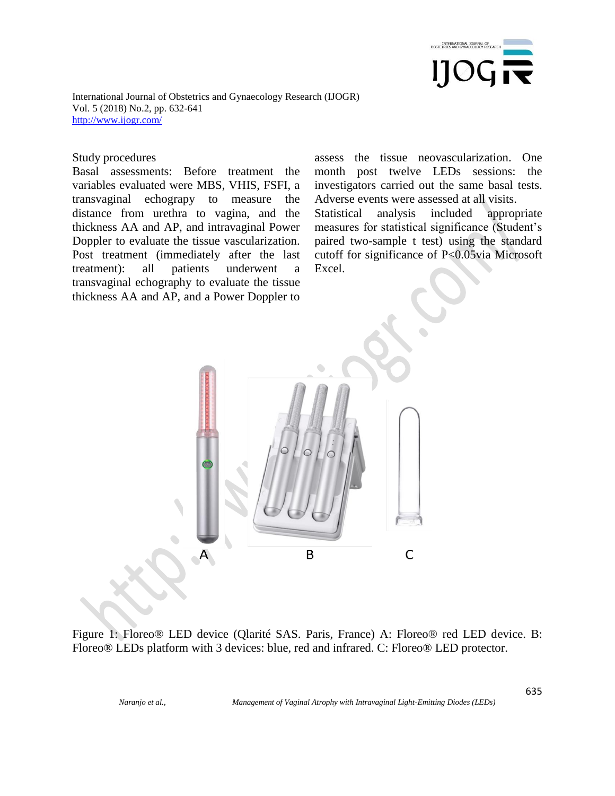

#### Study procedures

Basal assessments: Before treatment the variables evaluated were MBS, VHIS, FSFI, a transvaginal echograpy to measure the distance from urethra to vagina, and the thickness AA and AP, and intravaginal Power Doppler to evaluate the tissue vascularization. Post treatment (immediately after the last treatment): all patients underwent a transvaginal echography to evaluate the tissue thickness AA and AP, and a Power Doppler to assess the tissue neovascularization. One month post twelve LEDs sessions: the investigators carried out the same basal tests. Adverse events were assessed at all visits.

Statistical analysis included appropriate measures for statistical significance (Student's paired two-sample t test) using the standard cutoff for significance of P<0.05via Microsoft Excel.



Figure 1: Floreo® LED device (Qlarité SAS. Paris, France) A: Floreo® red LED device. B: Floreo® LEDs platform with 3 devices: blue, red and infrared. C: Floreo® LED protector.

*Naranjo et al., Management of Vaginal Atrophy with Intravaginal Light-Emitting Diodes (LEDs)*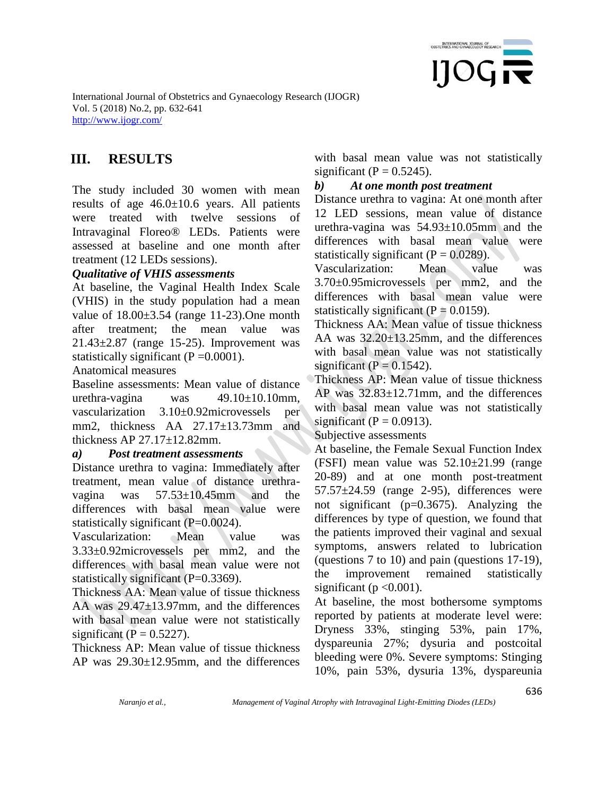

# **III. RESULTS**

The study included 30 women with mean results of age  $46.0 \pm 10.6$  years. All patients were treated with twelve sessions of Intravaginal Floreo® LEDs. Patients were assessed at baseline and one month after treatment (12 LEDs sessions).

#### *Qualitative of VHIS assessments*

At baseline, the Vaginal Health Index Scale (VHIS) in the study population had a mean value of  $18.00 \pm 3.54$  (range 11-23). One month after treatment; the mean value was 21.43±2.87 (range 15-25). Improvement was statistically significant ( $P = 0.0001$ ).

Anatomical measures

Baseline assessments: Mean value of distance urethra-vagina was 49.10±10.10mm, vascularization 3.10±0.92microvessels per mm2, thickness AA 27.17±13.73mm and thickness AP 27.17±12.82mm.

#### *a) Post treatment assessments*

Distance urethra to vagina: Immediately after treatment, mean value of distance urethravagina was 57.53±10.45mm and the differences with basal mean value were statistically significant (P=0.0024).

Vascularization: Mean value was 3.33±0.92microvessels per mm2, and the differences with basal mean value were not statistically significant  $(P=0.3369)$ .

Thickness AA: Mean value of tissue thickness AA was 29.47±13.97mm, and the differences with basal mean value were not statistically significant ( $P = 0.5227$ ).

Thickness AP: Mean value of tissue thickness AP was 29.30±12.95mm, and the differences with basal mean value was not statistically significant ( $P = 0.5245$ ).

#### *b) At one month post treatment*

Distance urethra to vagina: At one month after 12 LED sessions, mean value of distance urethra-vagina was 54.93±10.05mm and the differences with basal mean value were statistically significant  $(P = 0.0289)$ .

Vascularization: Mean value was 3.70±0.95microvessels per mm2, and the differences with basal mean value were statistically significant ( $P = 0.0159$ ).

Thickness AA: Mean value of tissue thickness AA was 32.20±13.25mm, and the differences with basal mean value was not statistically significant ( $P = 0.1542$ ).

Thickness AP: Mean value of tissue thickness AP was 32.83±12.71mm, and the differences with basal mean value was not statistically significant ( $P = 0.0913$ ).

Subjective assessments

At baseline, the Female Sexual Function Index (FSFI) mean value was 52.10±21.99 (range 20-89) and at one month post-treatment  $57.57\pm24.59$  (range 2-95), differences were not significant ( $p=0.3675$ ). Analyzing the differences by type of question, we found that the patients improved their vaginal and sexual symptoms, answers related to lubrication (questions 7 to 10) and pain (questions 17-19), the improvement remained statistically significant ( $p < 0.001$ ).

At baseline, the most bothersome symptoms reported by patients at moderate level were: Dryness 33%, stinging 53%, pain 17%, dyspareunia 27%; dysuria and postcoital bleeding were 0%. Severe symptoms: Stinging 10%, pain 53%, dysuria 13%, dyspareunia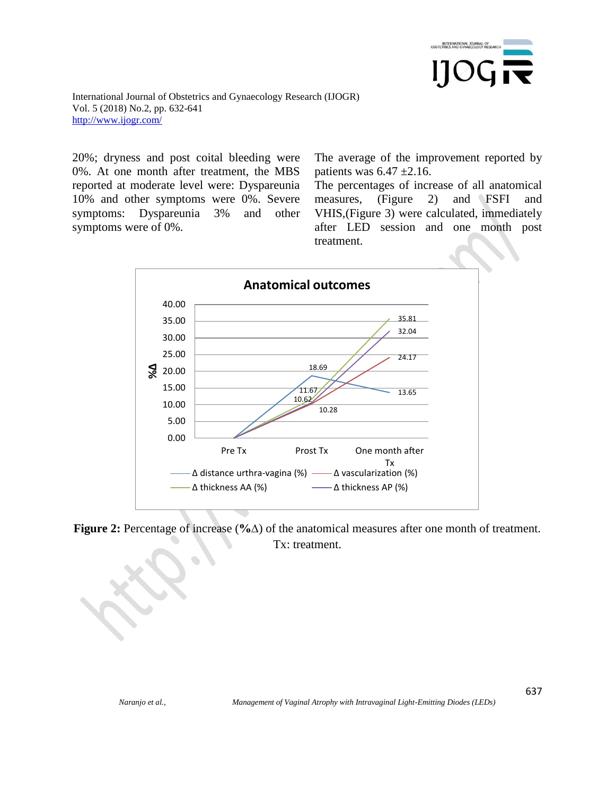

20%; dryness and post coital bleeding were 0%. At one month after treatment, the MBS reported at moderate level were: Dyspareunia 10% and other symptoms were 0%. Severe symptoms: Dyspareunia 3% and other symptoms were of 0%.

The average of the improvement reported by patients was  $6.47 \pm 2.16$ .

The percentages of increase of all anatomical measures, (Figure 2) and FSFI and VHIS,(Figure 3) were calculated, immediately after LED session and one month post treatment.



**Figure 2:** Percentage of increase (**%∆**) of the anatomical measures after one month of treatment. Tx: treatment.

637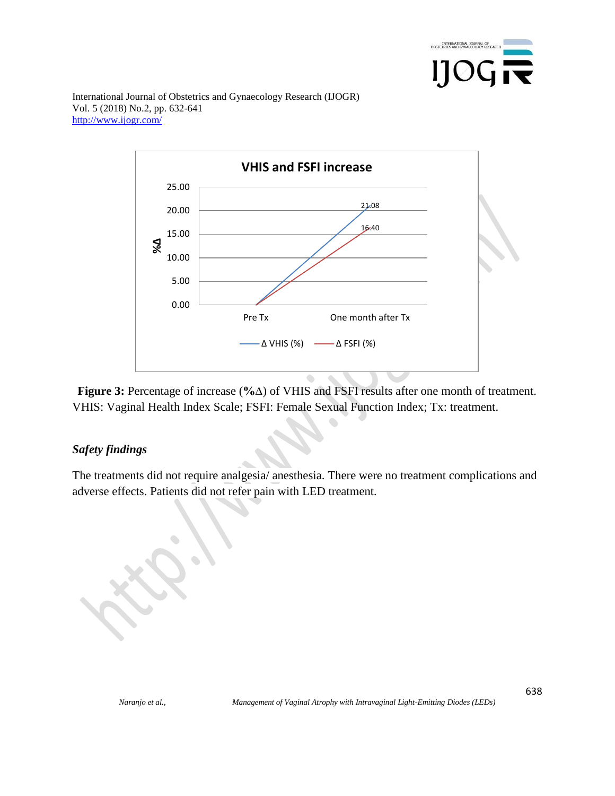



**Figure 3:** Percentage of increase (**%∆**) of VHIS and FSFI results after one month of treatment. VHIS: Vaginal Health Index Scale; FSFI: Female Sexual Function Index; Tx: treatment.

### *Safety findings*

The treatments did not require analgesia/ anesthesia. There were no treatment complications and adverse effects. Patients did not refer pain with LED treatment.

638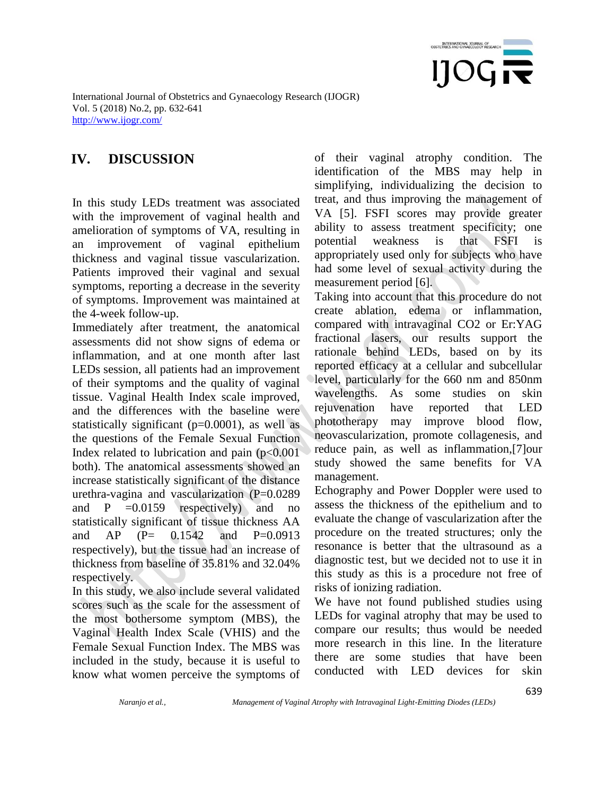

# **IV. DISCUSSION**

In this study LEDs treatment was associated with the improvement of vaginal health and amelioration of symptoms of VA, resulting in an improvement of vaginal epithelium thickness and vaginal tissue vascularization. Patients improved their vaginal and sexual symptoms, reporting a decrease in the severity of symptoms. Improvement was maintained at the 4-week follow-up.

Immediately after treatment, the anatomical assessments did not show signs of edema or inflammation, and at one month after last LEDs session, all patients had an improvement of their symptoms and the quality of vaginal tissue. Vaginal Health Index scale improved, and the differences with the baseline were statistically significant (p=0.0001), as well as the questions of the Female Sexual Function Index related to lubrication and pain  $(p<0.001$ both). The anatomical assessments showed an increase statistically significant of the distance urethra-vagina and vascularization (P=0.0289 and  $P = 0.0159$  respectively) and no statistically significant of tissue thickness AA and  $AP$   $(P= 0.1542$  and  $P=0.0913$ respectively), but the tissue had an increase of thickness from baseline of 35.81% and 32.04% respectively.

In this study, we also include several validated scores such as the scale for the assessment of the most bothersome symptom (MBS), the Vaginal Health Index Scale (VHIS) and the Female Sexual Function Index. The MBS was included in the study, because it is useful to know what women perceive the symptoms of of their vaginal atrophy condition. The identification of the MBS may help in simplifying, individualizing the decision to treat, and thus improving the management of VA [5]. FSFI scores may provide greater ability to assess treatment specificity; one potential weakness is that FSFI is appropriately used only for subjects who have had some level of sexual activity during the measurement period [6].

Taking into account that this procedure do not create ablation, edema or inflammation, compared with intravaginal CO2 or Er:YAG fractional lasers, our results support the rationale behind LEDs, based on by its reported efficacy at a cellular and subcellular level, particularly for the 660 nm and 850nm wavelengths. As some studies on skin rejuvenation have reported that LED phototherapy may improve blood flow, neovascularization, promote collagenesis, and reduce pain, as well as inflammation,[7]our study showed the same benefits for VA management.

Echography and Power Doppler were used to assess the thickness of the epithelium and to evaluate the change of vascularization after the procedure on the treated structures; only the resonance is better that the ultrasound as a diagnostic test, but we decided not to use it in this study as this is a procedure not free of risks of ionizing radiation.

We have not found published studies using LEDs for vaginal atrophy that may be used to compare our results; thus would be needed more research in this line. In the literature there are some studies that have been conducted with LED devices for skin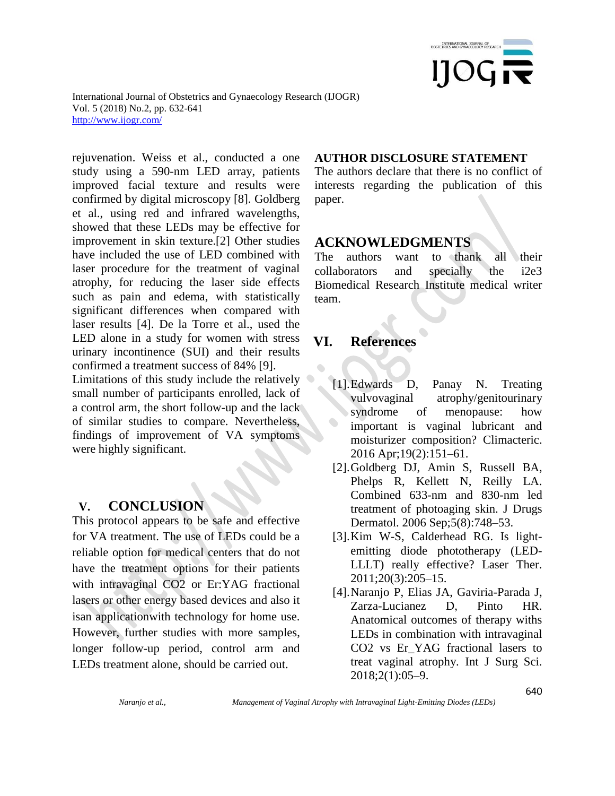

rejuvenation. Weiss et al., conducted a one study using a 590-nm LED array, patients improved facial texture and results were confirmed by digital microscopy [8]. Goldberg et al., using red and infrared wavelengths, showed that these LEDs may be effective for improvement in skin texture.[2] Other studies have included the use of LED combined with laser procedure for the treatment of vaginal atrophy, for reducing the laser side effects such as pain and edema, with statistically significant differences when compared with laser results [4]. De la Torre et al., used the LED alone in a study for women with stress urinary incontinence (SUI) and their results confirmed a treatment success of 84% [9]. Limitations of this study include the relatively small number of participants enrolled, lack of a control arm, the short follow-up and the lack of similar studies to compare. Nevertheless, findings of improvement of VA symptoms were highly significant.

#### **V. CONCLUSION**

This protocol appears to be safe and effective for VA treatment. The use of LEDs could be a reliable option for medical centers that do not have the treatment options for their patients with intravaginal CO2 or Er:YAG fractional lasers or other energy based devices and also it isan applicationwith technology for home use. However, further studies with more samples, longer follow-up period, control arm and LEDs treatment alone, should be carried out.

#### **AUTHOR DISCLOSURE STATEMENT**

The authors declare that there is no conflict of interests regarding the publication of this paper.

#### **ACKNOWLEDGMENTS**

The authors want to thank all their collaborators and specially the i2e3 Biomedical Research Institute medical writer team.

## **VI. References**

 $\bullet$ 

- [1].Edwards D, Panay N. Treating vulvovaginal atrophy/genitourinary syndrome of menopause: how  $\bullet$ important is vaginal lubricant and moisturizer composition? Climacteric. 2016 Apr;19(2):151–61.
- [2].Goldberg DJ, Amin S, Russell BA, Phelps R, Kellett N, Reilly LA. Combined 633-nm and 830-nm led treatment of photoaging skin. J Drugs Dermatol. 2006 Sep;5(8):748–53.
- [3].Kim W-S, Calderhead RG. Is lightemitting diode phototherapy (LED-LLLT) really effective? Laser Ther. 2011;20(3):205–15.
- [4].Naranjo P, Elias JA, Gaviria-Parada J, Zarza-Lucianez D, Pinto HR. Anatomical outcomes of therapy withs LEDs in combination with intravaginal CO2 vs Er\_YAG fractional lasers to treat vaginal atrophy. Int J Surg Sci. 2018;2(1):05–9.